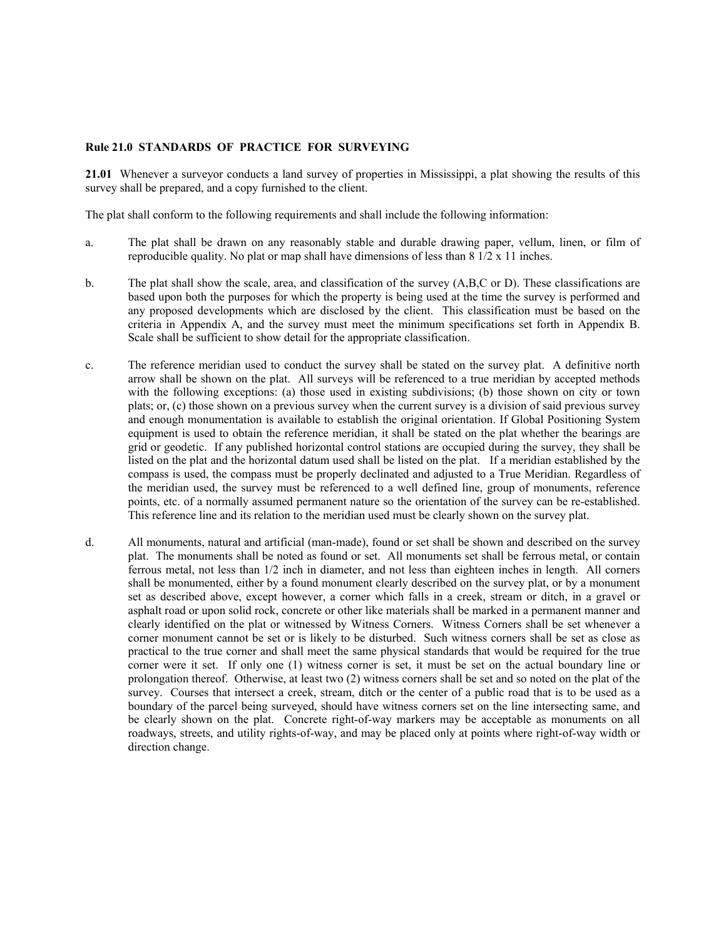## **Rule 21.0 STANDARDS OF PRACTICE FOR SURVEYING**

**21.01** Whenever a surveyor conducts a land survey of properties in Mississippi, a plat showing the results of this survey shall be prepared, and a copy furnished to the client.

The plat shall conform to the following requirements and shall include the following information:

- a. The plat shall be drawn on any reasonably stable and durable drawing paper, vellum, linen, or film of reproducible quality. No plat or map shall have dimensions of less than  $8\frac{1}{2} \times 11$  inches.
- b. The plat shall show the scale, area, and classification of the survey (A,B,C or D). These classifications are based upon both the purposes for which the property is being used at the time the survey is performed and any proposed developments which are disclosed by the client. This classification must be based on the criteria in Appendix A, and the survey must meet the minimum specifications set forth in Appendix B. Scale shall be sufficient to show detail for the appropriate classification.
- c. The reference meridian used to conduct the survey shall be stated on the survey plat. A definitive north arrow shall be shown on the plat. All surveys will be referenced to a true meridian by accepted methods with the following exceptions: (a) those used in existing subdivisions; (b) those shown on city or town plats; or, (c) those shown on a previous survey when the current survey is a division of said previous survey and enough monumentation is available to establish the original orientation. If Global Positioning System equipment is used to obtain the reference meridian, it shall be stated on the plat whether the bearings are grid or geodetic. If any published horizontal control stations are occupied during the survey, they shall be listed on the plat and the horizontal datum used shall be listed on the plat. If a meridian established by the compass is used, the compass must be properly declinated and adjusted to a True Meridian. Regardless of the meridian used, the survey must be referenced to a well defined line, group of monuments, reference points, etc. of a normally assumed permanent nature so the orientation of the survey can be re-established. This reference line and its relation to the meridian used must be clearly shown on the survey plat.
- d. All monuments, natural and artificial (man-made), found or set shall be shown and described on the survey plat. The monuments shall be noted as found or set. All monuments set shall be ferrous metal, or contain ferrous metal, not less than 1/2 inch in diameter, and not less than eighteen inches in length. All corners shall be monumented, either by a found monument clearly described on the survey plat, or by a monument set as described above, except however, a corner which falls in a creek, stream or ditch, in a gravel or asphalt road or upon solid rock, concrete or other like materials shall be marked in a permanent manner and clearly identified on the plat or witnessed by Witness Corners. Witness Corners shall be set whenever a corner monument cannot be set or is likely to be disturbed. Such witness corners shall be set as close as practical to the true corner and shall meet the same physical standards that would be required for the true corner were it set. If only one (1) witness corner is set, it must be set on the actual boundary line or prolongation thereof. Otherwise, at least two (2) witness corners shall be set and so noted on the plat of the survey. Courses that intersect a creek, stream, ditch or the center of a public road that is to be used as a boundary of the parcel being surveyed, should have witness corners set on the line intersecting same, and be clearly shown on the plat. Concrete right-of-way markers may be acceptable as monuments on all roadways, streets, and utility rights-of-way, and may be placed only at points where right-of-way width or direction change.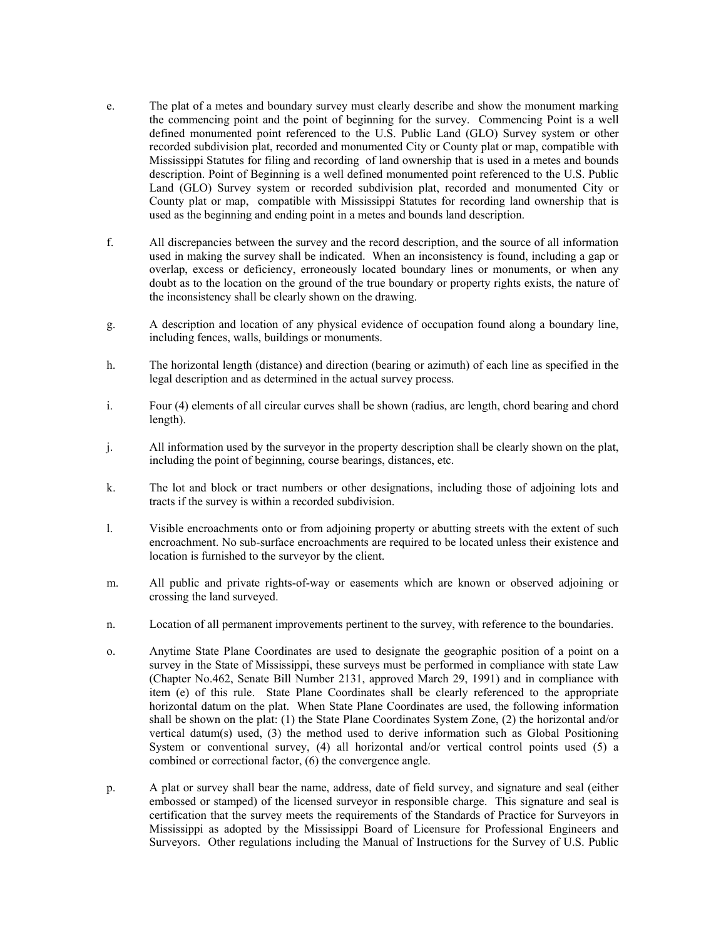- e. The plat of a metes and boundary survey must clearly describe and show the monument marking the commencing point and the point of beginning for the survey. Commencing Point is a well defined monumented point referenced to the U.S. Public Land (GLO) Survey system or other recorded subdivision plat, recorded and monumented City or County plat or map, compatible with Mississippi Statutes for filing and recording of land ownership that is used in a metes and bounds description. Point of Beginning is a well defined monumented point referenced to the U.S. Public Land (GLO) Survey system or recorded subdivision plat, recorded and monumented City or County plat or map, compatible with Mississippi Statutes for recording land ownership that is used as the beginning and ending point in a metes and bounds land description.
- f. All discrepancies between the survey and the record description, and the source of all information used in making the survey shall be indicated. When an inconsistency is found, including a gap or overlap, excess or deficiency, erroneously located boundary lines or monuments, or when any doubt as to the location on the ground of the true boundary or property rights exists, the nature of the inconsistency shall be clearly shown on the drawing.
- g. A description and location of any physical evidence of occupation found along a boundary line, including fences, walls, buildings or monuments.
- h. The horizontal length (distance) and direction (bearing or azimuth) of each line as specified in the legal description and as determined in the actual survey process.
- i. Four (4) elements of all circular curves shall be shown (radius, arc length, chord bearing and chord length).
- j. All information used by the surveyor in the property description shall be clearly shown on the plat, including the point of beginning, course bearings, distances, etc.
- k. The lot and block or tract numbers or other designations, including those of adjoining lots and tracts if the survey is within a recorded subdivision.
- l. Visible encroachments onto or from adjoining property or abutting streets with the extent of such encroachment. No sub-surface encroachments are required to be located unless their existence and location is furnished to the surveyor by the client.
- m. All public and private rights-of-way or easements which are known or observed adjoining or crossing the land surveyed.
- n. Location of all permanent improvements pertinent to the survey, with reference to the boundaries.
- o. Anytime State Plane Coordinates are used to designate the geographic position of a point on a survey in the State of Mississippi, these surveys must be performed in compliance with state Law (Chapter No.462, Senate Bill Number 2131, approved March 29, 1991) and in compliance with item (e) of this rule. State Plane Coordinates shall be clearly referenced to the appropriate horizontal datum on the plat. When State Plane Coordinates are used, the following information shall be shown on the plat: (1) the State Plane Coordinates System Zone, (2) the horizontal and/or vertical datum(s) used, (3) the method used to derive information such as Global Positioning System or conventional survey, (4) all horizontal and/or vertical control points used (5) a combined or correctional factor, (6) the convergence angle.
- p. A plat or survey shall bear the name, address, date of field survey, and signature and seal (either embossed or stamped) of the licensed surveyor in responsible charge. This signature and seal is certification that the survey meets the requirements of the Standards of Practice for Surveyors in Mississippi as adopted by the Mississippi Board of Licensure for Professional Engineers and Surveyors. Other regulations including the Manual of Instructions for the Survey of U.S. Public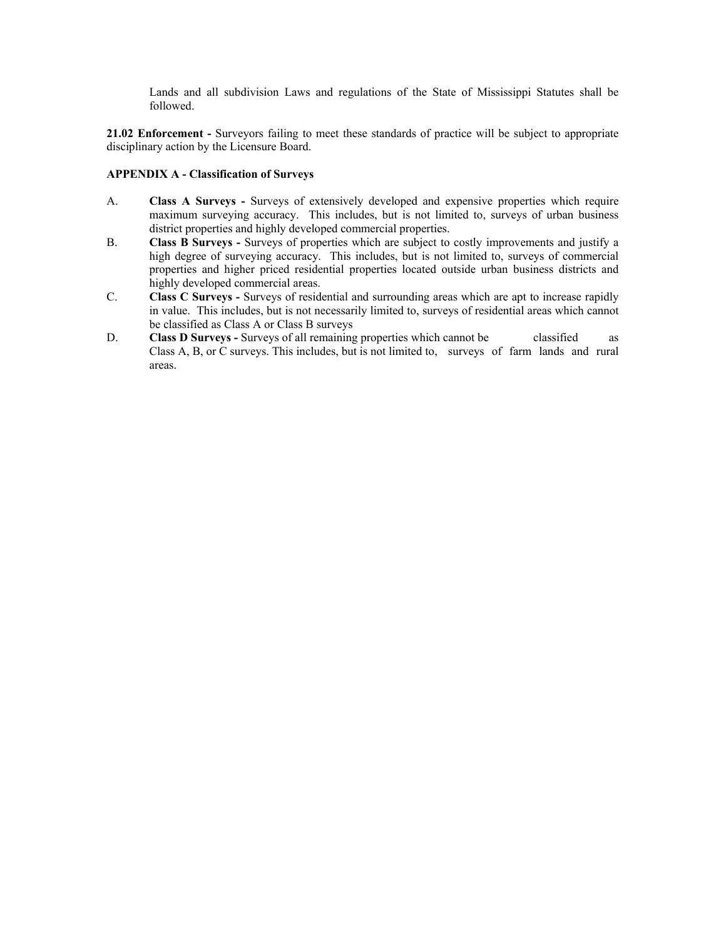Lands and all subdivision Laws and regulations of the State of Mississippi Statutes shall be followed.

**21.02 Enforcement -** Surveyors failing to meet these standards of practice will be subject to appropriate disciplinary action by the Licensure Board.

## **APPENDIX A - Classification of Surveys**

- A. **Class A Surveys -** Surveys of extensively developed and expensive properties which require maximum surveying accuracy. This includes, but is not limited to, surveys of urban business district properties and highly developed commercial properties.
- B. **Class B Surveys -** Surveys of properties which are subject to costly improvements and justify a high degree of surveying accuracy. This includes, but is not limited to, surveys of commercial properties and higher priced residential properties located outside urban business districts and highly developed commercial areas.
- C. **Class C Surveys -** Surveys of residential and surrounding areas which are apt to increase rapidly in value. This includes, but is not necessarily limited to, surveys of residential areas which cannot be classified as Class A or Class B surveys
- D. **Class D Surveys -** Surveys of all remaining properties which cannot be classified as Class A, B, or C surveys. This includes, but is not limited to, surveys of farm lands and rural areas.